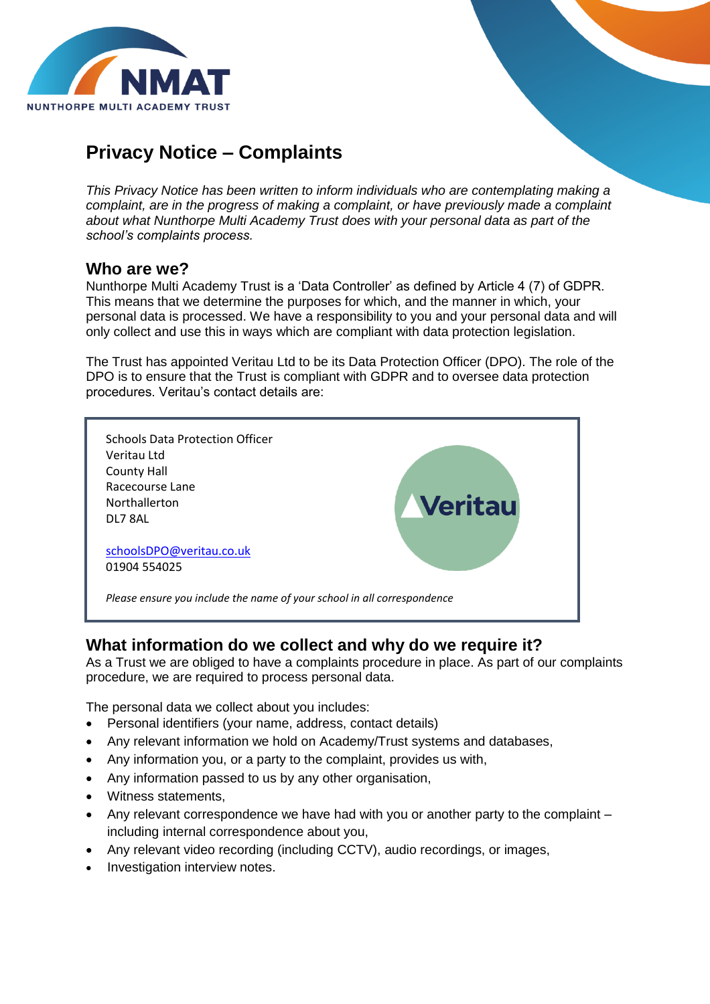

# **Privacy Notice – Complaints**

*This Privacy Notice has been written to inform individuals who are contemplating making a complaint, are in the progress of making a complaint, or have previously made a complaint about what Nunthorpe Multi Academy Trust does with your personal data as part of the school's complaints process.*

#### **Who are we?**

Nunthorpe Multi Academy Trust is a 'Data Controller' as defined by Article 4 (7) of GDPR. This means that we determine the purposes for which, and the manner in which, your personal data is processed. We have a responsibility to you and your personal data and will only collect and use this in ways which are compliant with data protection legislation.

The Trust has appointed Veritau Ltd to be its Data Protection Officer (DPO). The role of the DPO is to ensure that the Trust is compliant with GDPR and to oversee data protection procedures. Veritau's contact details are:



#### **What information do we collect and why do we require it?**

As a Trust we are obliged to have a complaints procedure in place. As part of our complaints procedure, we are required to process personal data.

The personal data we collect about you includes:

- Personal identifiers (your name, address, contact details)
- Any relevant information we hold on Academy/Trust systems and databases,
- Any information you, or a party to the complaint, provides us with,
- Any information passed to us by any other organisation,
- Witness statements,
- Any relevant correspondence we have had with you or another party to the complaint including internal correspondence about you,
- Any relevant video recording (including CCTV), audio recordings, or images,
- Investigation interview notes.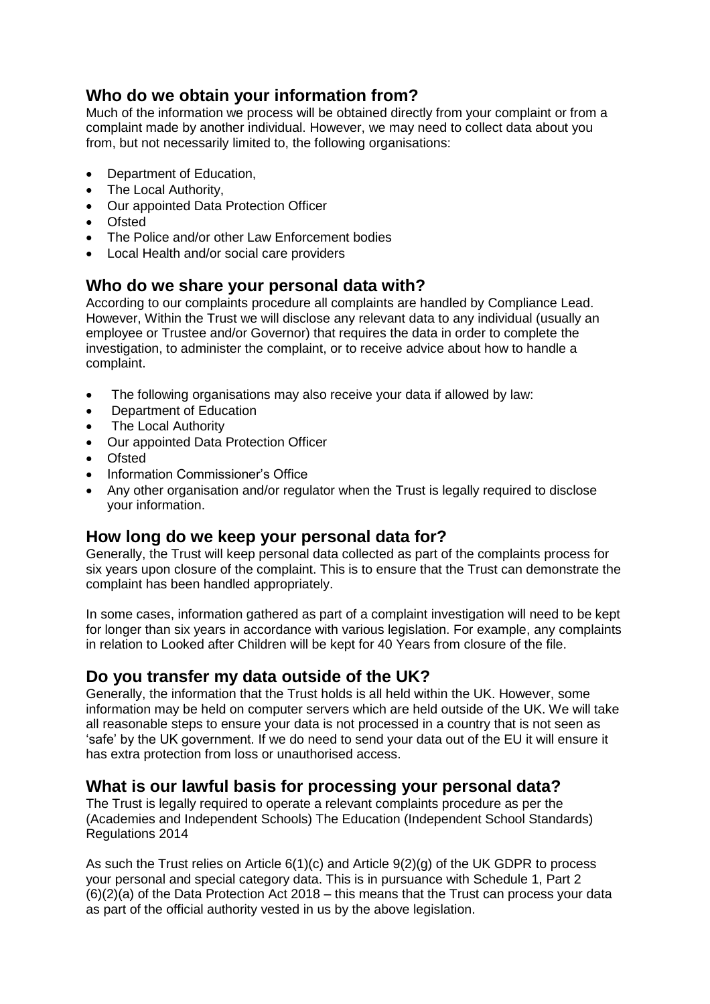## **Who do we obtain your information from?**

Much of the information we process will be obtained directly from your complaint or from a complaint made by another individual. However, we may need to collect data about you from, but not necessarily limited to, the following organisations:

- Department of Education,
- The Local Authority,
- Our appointed Data Protection Officer
- Ofsted
- The Police and/or other Law Enforcement bodies
- Local Health and/or social care providers

#### **Who do we share your personal data with?**

According to our complaints procedure all complaints are handled by Compliance Lead. However, Within the Trust we will disclose any relevant data to any individual (usually an employee or Trustee and/or Governor) that requires the data in order to complete the investigation, to administer the complaint, or to receive advice about how to handle a complaint.

- The following organisations may also receive your data if allowed by law:
- Department of Education
- The Local Authority
- Our appointed Data Protection Officer
- Ofsted
- Information Commissioner's Office
- Any other organisation and/or regulator when the Trust is legally reguired to disclose your information.

#### **How long do we keep your personal data for?**

Generally, the Trust will keep personal data collected as part of the complaints process for six years upon closure of the complaint. This is to ensure that the Trust can demonstrate the complaint has been handled appropriately.

In some cases, information gathered as part of a complaint investigation will need to be kept for longer than six years in accordance with various legislation. For example, any complaints in relation to Looked after Children will be kept for 40 Years from closure of the file.

#### **Do you transfer my data outside of the UK?**

Generally, the information that the Trust holds is all held within the UK. However, some information may be held on computer servers which are held outside of the UK. We will take all reasonable steps to ensure your data is not processed in a country that is not seen as 'safe' by the UK government. If we do need to send your data out of the EU it will ensure it has extra protection from loss or unauthorised access.

#### **What is our lawful basis for processing your personal data?**

The Trust is legally required to operate a relevant complaints procedure as per the (Academies and Independent Schools) The Education (Independent School Standards) Regulations 2014

As such the Trust relies on Article 6(1)(c) and Article 9(2)(g) of the UK GDPR to process your personal and special category data. This is in pursuance with Schedule 1, Part 2 (6)(2)(a) of the Data Protection Act 2018 – this means that the Trust can process your data as part of the official authority vested in us by the above legislation.